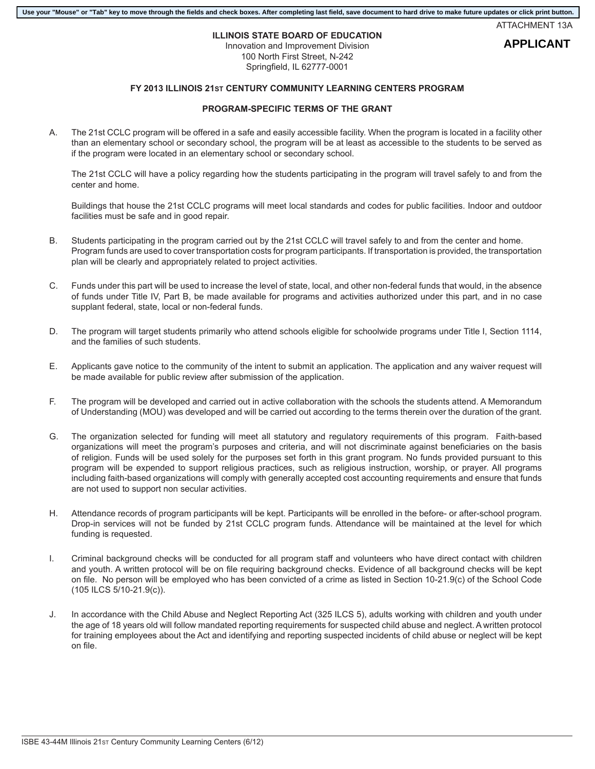## **Use your "Mouse" or "Tab" key to move through the fields and check boxes. After completing last field, save document to hard drive to make future updates or click print button.**

ATTACHMENT 13A

**APPLICANT**

## **ILLINOIS STATE BOARD OF EDUCATION**

Innovation and Improvement Division 100 North First Street, N-242 Springfield, IL 62777-0001

## **FY 2013 ILLINOIS 21ST CENTURY COMMUNITY LEARNING CENTERS PROGRAM**

## **PROGRAM-SPECIFIC TERMS OF THE GRANT**

A. The 21st CCLC program will be offered in a safe and easily accessible facility. When the program is located in a facility other than an elementary school or secondary school, the program will be at least as accessible to the students to be served as if the program were located in an elementary school or secondary school.

The 21st CCLC will have a policy regarding how the students participating in the program will travel safely to and from the center and home.

Buildings that house the 21st CCLC programs will meet local standards and codes for public facilities. Indoor and outdoor facilities must be safe and in good repair.

- B. Students participating in the program carried out by the 21st CCLC will travel safely to and from the center and home. Program funds are used to cover transportation costs for program participants. If transportation is provided, the transportation plan will be clearly and appropriately related to project activities.
- C. Funds under this part will be used to increase the level of state, local, and other non-federal funds that would, in the absence of funds under Title IV, Part B, be made available for programs and activities authorized under this part, and in no case supplant federal, state, local or non-federal funds.
- D. The program will target students primarily who attend schools eligible for schoolwide programs under Title I, Section 1114, and the families of such students.
- E. Applicants gave notice to the community of the intent to submit an application. The application and any waiver request will be made available for public review after submission of the application.
- F. The program will be developed and carried out in active collaboration with the schools the students attend. A Memorandum of Understanding (MOU) was developed and will be carried out according to the terms therein over the duration of the grant.
- G. The organization selected for funding will meet all statutory and regulatory requirements of this program. Faith-based organizations will meet the program's purposes and criteria, and will not discriminate against beneficiaries on the basis of religion. Funds will be used solely for the purposes set forth in this grant program. No funds provided pursuant to this program will be expended to support religious practices, such as religious instruction, worship, or prayer. All programs including faith-based organizations will comply with generally accepted cost accounting requirements and ensure that funds are not used to support non secular activities.
- H. Attendance records of program participants will be kept. Participants will be enrolled in the before- or after-school program. Drop-in services will not be funded by 21st CCLC program funds. Attendance will be maintained at the level for which funding is requested.
- I. Criminal background checks will be conducted for all program staff and volunteers who have direct contact with children and youth. A written protocol will be on file requiring background checks. Evidence of all background checks will be kept on file. No person will be employed who has been convicted of a crime as listed in Section 10-21.9(c) of the School Code (105 ILCS 5/10-21.9(c)).
- J. In accordance with the Child Abuse and Neglect Reporting Act (325 ILCS 5), adults working with children and youth under the age of 18 years old will follow mandated reporting requirements for suspected child abuse and neglect. A written protocol for training employees about the Act and identifying and reporting suspected incidents of child abuse or neglect will be kept on file.